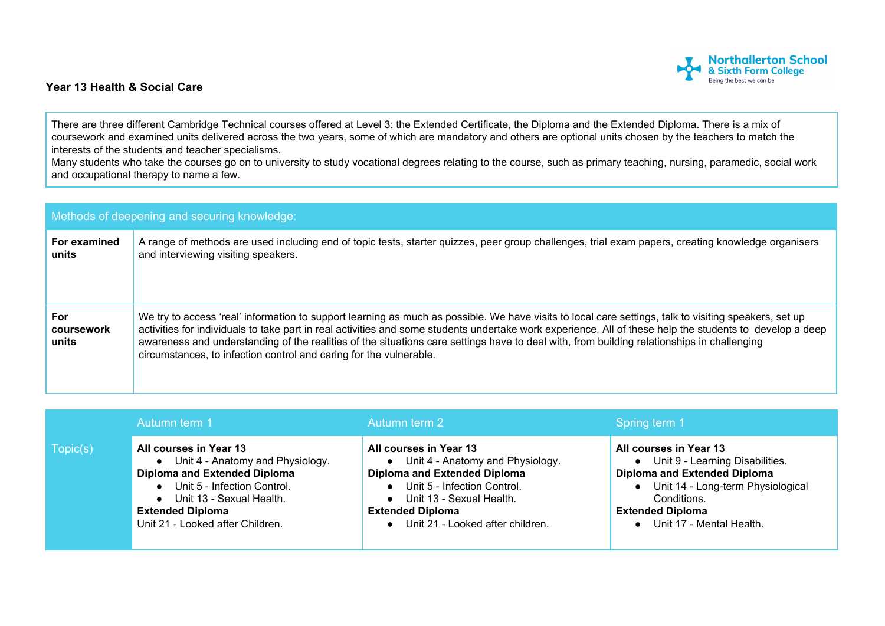## **Northallerton School**<br>& Sixth Form College Being the best we can be

## **Year 13 Health & Social Care**

There are three different Cambridge Technical courses offered at Level 3: the Extended Certificate, the Diploma and the Extended Diploma. There is a mix of coursework and examined units delivered across the two years, some of which are mandatory and others are optional units chosen by the teachers to match the interests of the students and teacher specialisms.

Many students who take the courses go on to university to study vocational degrees relating to the course, such as primary teaching, nursing, paramedic, social work and occupational therapy to name a few.

| Methods of deepening and securing knowledge: |                                                                                                                                                                                                                                                                                                                                                                                                                                                                                                                                       |  |  |  |
|----------------------------------------------|---------------------------------------------------------------------------------------------------------------------------------------------------------------------------------------------------------------------------------------------------------------------------------------------------------------------------------------------------------------------------------------------------------------------------------------------------------------------------------------------------------------------------------------|--|--|--|
| For examined<br>units                        | A range of methods are used including end of topic tests, starter quizzes, peer group challenges, trial exam papers, creating knowledge organisers<br>and interviewing visiting speakers.                                                                                                                                                                                                                                                                                                                                             |  |  |  |
| <b>For</b><br>coursework<br>units            | We try to access 'real' information to support learning as much as possible. We have visits to local care settings, talk to visiting speakers, set up<br>activities for individuals to take part in real activities and some students undertake work experience. All of these help the students to develop a deep<br>awareness and understanding of the realities of the situations care settings have to deal with, from building relationships in challenging<br>circumstances, to infection control and caring for the vulnerable. |  |  |  |

|          | Autumn term 1                                                                                                                                                                                                                     | Autumn term 2                                                                                                                                                                                                                                         | Spring term 1                                                                                                                                                                                                     |
|----------|-----------------------------------------------------------------------------------------------------------------------------------------------------------------------------------------------------------------------------------|-------------------------------------------------------------------------------------------------------------------------------------------------------------------------------------------------------------------------------------------------------|-------------------------------------------------------------------------------------------------------------------------------------------------------------------------------------------------------------------|
| Topic(s) | All courses in Year 13<br>• Unit 4 - Anatomy and Physiology.<br><b>Diploma and Extended Diploma</b><br>• Unit 5 - Infection Control.<br>• Unit 13 - Sexual Health.<br><b>Extended Diploma</b><br>Unit 21 - Looked after Children. | All courses in Year 13<br>Unit 4 - Anatomy and Physiology.<br>$\bullet$<br><b>Diploma and Extended Diploma</b><br>Unit 5 - Infection Control.<br>Unit 13 - Sexual Health.<br>$\bullet$<br><b>Extended Diploma</b><br>Unit 21 - Looked after children. | All courses in Year 13<br>• Unit 9 - Learning Disabilities.<br><b>Diploma and Extended Diploma</b><br>• Unit 14 - Long-term Physiological<br>Conditions.<br><b>Extended Diploma</b><br>• Unit 17 - Mental Health. |